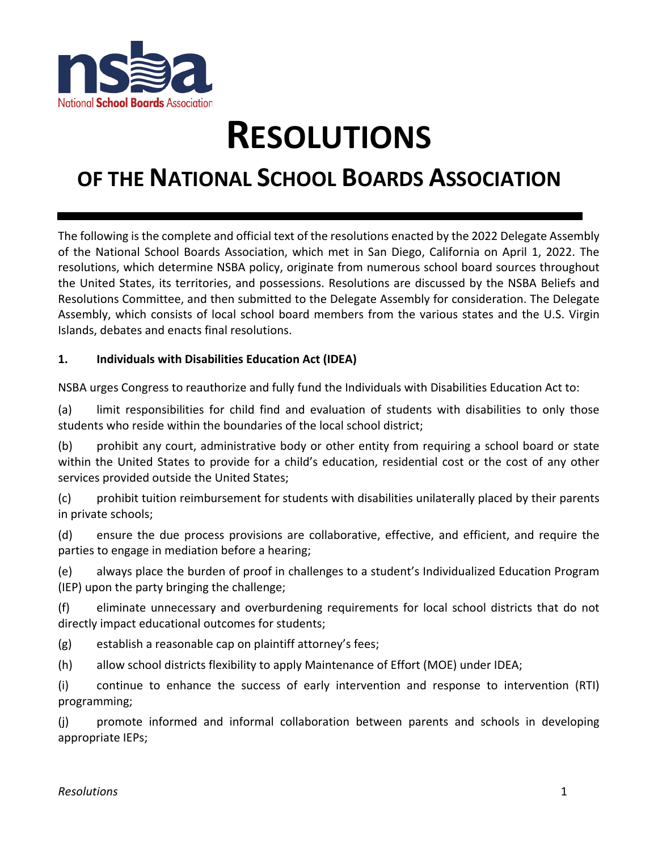

# **RESOLUTIONS**

# **OF THE NATIONAL SCHOOL BOARDS ASSOCIATION**

The following is the complete and official text of the resolutions enacted by the 2022 Delegate Assembly of the National School Boards Association, which met in San Diego, California on April 1, 2022. The resolutions, which determine NSBA policy, originate from numerous school board sources throughout the United States, its territories, and possessions. Resolutions are discussed by the NSBA Beliefs and Resolutions Committee, and then submitted to the Delegate Assembly for consideration. The Delegate Assembly, which consists of local school board members from the various states and the U.S. Virgin Islands, debates and enacts final resolutions.

#### **1. Individuals with Disabilities Education Act (IDEA)**

NSBA urges Congress to reauthorize and fully fund the Individuals with Disabilities Education Act to:

(a) limit responsibilities for child find and evaluation of students with disabilities to only those students who reside within the boundaries of the local school district;

(b) prohibit any court, administrative body or other entity from requiring a school board or state within the United States to provide for a child's education, residential cost or the cost of any other services provided outside the United States;

(c) prohibit tuition reimbursement for students with disabilities unilaterally placed by their parents in private schools;

(d) ensure the due process provisions are collaborative, effective, and efficient, and require the parties to engage in mediation before a hearing;

(e) always place the burden of proof in challenges to a student's Individualized Education Program (IEP) upon the party bringing the challenge;

(f) eliminate unnecessary and overburdening requirements for local school districts that do not directly impact educational outcomes for students;

(g) establish a reasonable cap on plaintiff attorney's fees;

(h) allow school districts flexibility to apply Maintenance of Effort (MOE) under IDEA;

(i) continue to enhance the success of early intervention and response to intervention (RTI) programming;

(j) promote informed and informal collaboration between parents and schools in developing appropriate IEPs;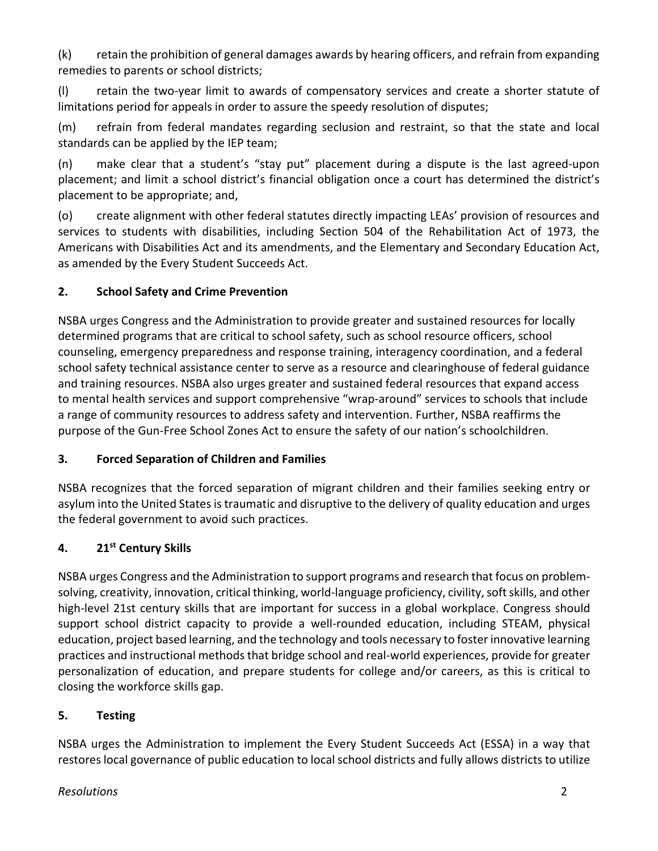(k) retain the prohibition of general damages awards by hearing officers, and refrain from expanding remedies to parents or school districts;

(l) retain the two-year limit to awards of compensatory services and create a shorter statute of limitations period for appeals in order to assure the speedy resolution of disputes;

(m) refrain from federal mandates regarding seclusion and restraint, so that the state and local standards can be applied by the IEP team;

(n) make clear that a student's "stay put" placement during a dispute is the last agreed-upon placement; and limit a school district's financial obligation once a court has determined the district's placement to be appropriate; and,

(o) create alignment with other federal statutes directly impacting LEAs' provision of resources and services to students with disabilities, including Section 504 of the Rehabilitation Act of 1973, the Americans with Disabilities Act and its amendments, and the Elementary and Secondary Education Act, as amended by the Every Student Succeeds Act.

# **2. School Safety and Crime Prevention**

NSBA urges Congress and the Administration to provide greater and sustained resources for locally determined programs that are critical to school safety, such as school resource officers, school counseling, emergency preparedness and response training, interagency coordination, and a federal school safety technical assistance center to serve as a resource and clearinghouse of federal guidance and training resources. NSBA also urges greater and sustained federal resources that expand access to mental health services and support comprehensive "wrap-around" services to schools that include a range of community resources to address safety and intervention. Further, NSBA reaffirms the purpose of the Gun-Free School Zones Act to ensure the safety of our nation's schoolchildren.

# **3. Forced Separation of Children and Families**

NSBA recognizes that the forced separation of migrant children and their families seeking entry or asylum into the United States is traumatic and disruptive to the delivery of quality education and urges the federal government to avoid such practices.

# **4. 21st Century Skills**

NSBA urges Congress and the Administration to support programs and research that focus on problemsolving, creativity, innovation, critical thinking, world-language proficiency, civility, soft skills, and other high-level 21st century skills that are important for success in a global workplace. Congress should support school district capacity to provide a well-rounded education, including STEAM, physical education, project based learning, and the technology and tools necessary to foster innovative learning practices and instructional methods that bridge school and real-world experiences, provide for greater personalization of education, and prepare students for college and/or careers, as this is critical to closing the workforce skills gap.

# **5. Testing**

NSBA urges the Administration to implement the Every Student Succeeds Act (ESSA) in a way that restores local governance of public education to local school districts and fully allows districts to utilize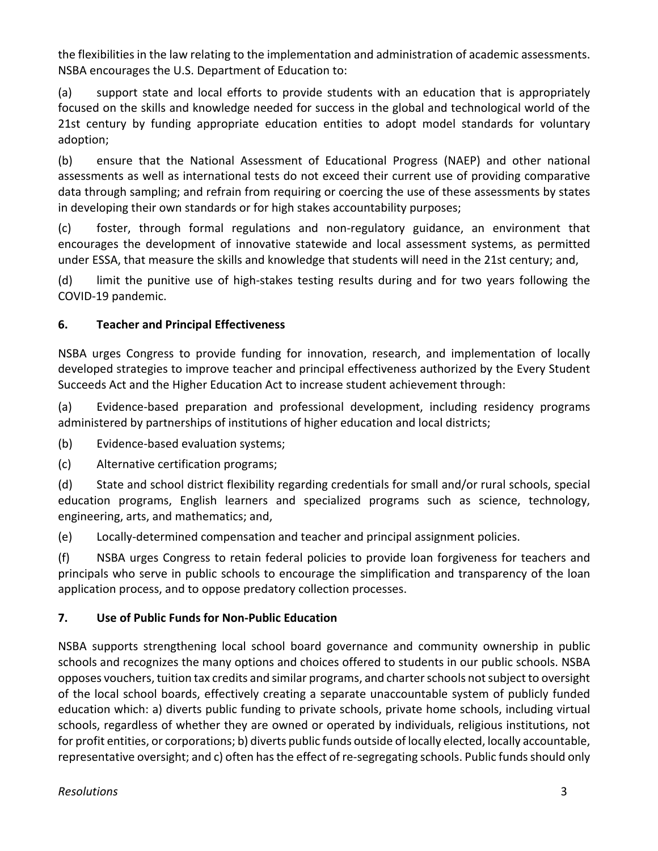the flexibilities in the law relating to the implementation and administration of academic assessments. NSBA encourages the U.S. Department of Education to:

(a) support state and local efforts to provide students with an education that is appropriately focused on the skills and knowledge needed for success in the global and technological world of the 21st century by funding appropriate education entities to adopt model standards for voluntary adoption;

(b) ensure that the National Assessment of Educational Progress (NAEP) and other national assessments as well as international tests do not exceed their current use of providing comparative data through sampling; and refrain from requiring or coercing the use of these assessments by states in developing their own standards or for high stakes accountability purposes;

(c) foster, through formal regulations and non-regulatory guidance, an environment that encourages the development of innovative statewide and local assessment systems, as permitted under ESSA, that measure the skills and knowledge that students will need in the 21st century; and,

(d) limit the punitive use of high-stakes testing results during and for two years following the COVID-19 pandemic.

# **6. Teacher and Principal Effectiveness**

NSBA urges Congress to provide funding for innovation, research, and implementation of locally developed strategies to improve teacher and principal effectiveness authorized by the Every Student Succeeds Act and the Higher Education Act to increase student achievement through:

(a) Evidence-based preparation and professional development, including residency programs administered by partnerships of institutions of higher education and local districts;

(b) Evidence-based evaluation systems;

(c) Alternative certification programs;

(d) State and school district flexibility regarding credentials for small and/or rural schools, special education programs, English learners and specialized programs such as science, technology, engineering, arts, and mathematics; and,

(e) Locally-determined compensation and teacher and principal assignment policies.

(f) NSBA urges Congress to retain federal policies to provide loan forgiveness for teachers and principals who serve in public schools to encourage the simplification and transparency of the loan application process, and to oppose predatory collection processes.

# **7. Use of Public Funds for Non-Public Education**

NSBA supports strengthening local school board governance and community ownership in public schools and recognizes the many options and choices offered to students in our public schools. NSBA opposes vouchers, tuition tax credits and similar programs, and charter schools not subject to oversight of the local school boards, effectively creating a separate unaccountable system of publicly funded education which: a) diverts public funding to private schools, private home schools, including virtual schools, regardless of whether they are owned or operated by individuals, religious institutions, not for profit entities, or corporations; b) diverts public funds outside of locally elected, locally accountable, representative oversight; and c) often has the effect of re-segregating schools. Public funds should only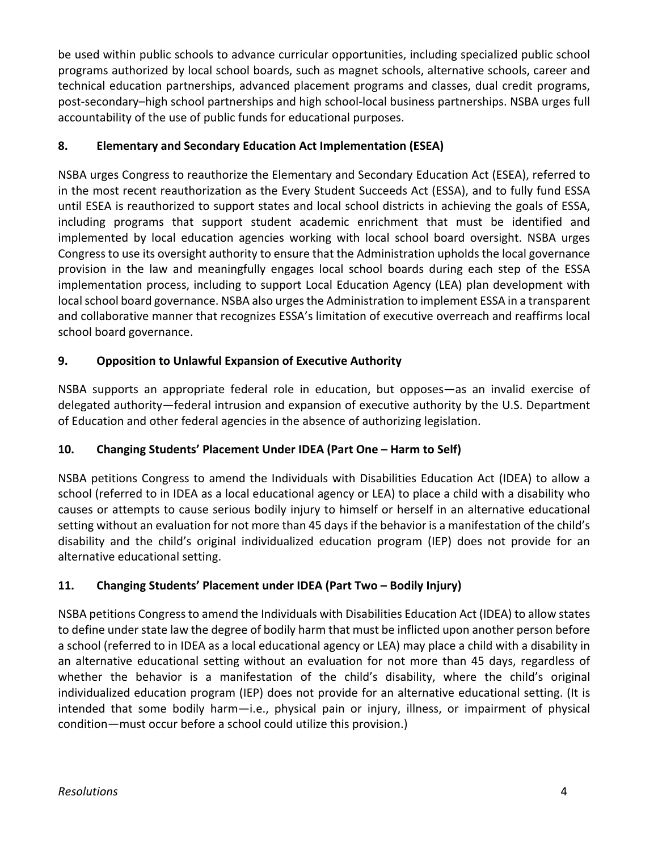be used within public schools to advance curricular opportunities, including specialized public school programs authorized by local school boards, such as magnet schools, alternative schools, career and technical education partnerships, advanced placement programs and classes, dual credit programs, post-secondary–high school partnerships and high school-local business partnerships. NSBA urges full accountability of the use of public funds for educational purposes.

# **8. Elementary and Secondary Education Act Implementation (ESEA)**

NSBA urges Congress to reauthorize the Elementary and Secondary Education Act (ESEA), referred to in the most recent reauthorization as the Every Student Succeeds Act (ESSA), and to fully fund ESSA until ESEA is reauthorized to support states and local school districts in achieving the goals of ESSA, including programs that support student academic enrichment that must be identified and implemented by local education agencies working with local school board oversight. NSBA urges Congress to use its oversight authority to ensure that the Administration upholds the local governance provision in the law and meaningfully engages local school boards during each step of the ESSA implementation process, including to support Local Education Agency (LEA) plan development with local school board governance. NSBA also urges the Administration to implement ESSA in a transparent and collaborative manner that recognizes ESSA's limitation of executive overreach and reaffirms local school board governance.

# **9. Opposition to Unlawful Expansion of Executive Authority**

NSBA supports an appropriate federal role in education, but opposes—as an invalid exercise of delegated authority—federal intrusion and expansion of executive authority by the U.S. Department of Education and other federal agencies in the absence of authorizing legislation.

# **10. Changing Students' Placement Under IDEA (Part One – Harm to Self)**

NSBA petitions Congress to amend the Individuals with Disabilities Education Act (IDEA) to allow a school (referred to in IDEA as a local educational agency or LEA) to place a child with a disability who causes or attempts to cause serious bodily injury to himself or herself in an alternative educational setting without an evaluation for not more than 45 days if the behavior is a manifestation of the child's disability and the child's original individualized education program (IEP) does not provide for an alternative educational setting.

# **11. Changing Students' Placement under IDEA (Part Two – Bodily Injury)**

NSBA petitions Congress to amend the Individuals with Disabilities Education Act (IDEA) to allow states to define under state law the degree of bodily harm that must be inflicted upon another person before a school (referred to in IDEA as a local educational agency or LEA) may place a child with a disability in an alternative educational setting without an evaluation for not more than 45 days, regardless of whether the behavior is a manifestation of the child's disability, where the child's original individualized education program (IEP) does not provide for an alternative educational setting. (It is intended that some bodily harm—i.e., physical pain or injury, illness, or impairment of physical condition—must occur before a school could utilize this provision.)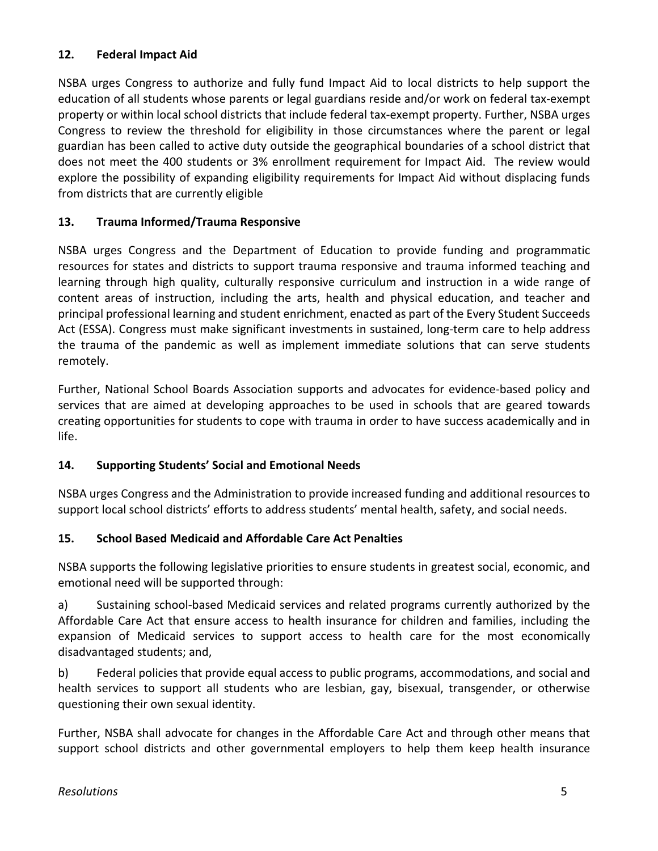#### **12. Federal Impact Aid**

NSBA urges Congress to authorize and fully fund Impact Aid to local districts to help support the education of all students whose parents or legal guardians reside and/or work on federal tax-exempt property or within local school districts that include federal tax-exempt property. Further, NSBA urges Congress to review the threshold for eligibility in those circumstances where the parent or legal guardian has been called to active duty outside the geographical boundaries of a school district that does not meet the 400 students or 3% enrollment requirement for Impact Aid. The review would explore the possibility of expanding eligibility requirements for Impact Aid without displacing funds from districts that are currently eligible

#### **13. Trauma Informed/Trauma Responsive**

NSBA urges Congress and the Department of Education to provide funding and programmatic resources for states and districts to support trauma responsive and trauma informed teaching and learning through high quality, culturally responsive curriculum and instruction in a wide range of content areas of instruction, including the arts, health and physical education, and teacher and principal professional learning and student enrichment, enacted as part of the Every Student Succeeds Act (ESSA). Congress must make significant investments in sustained, long-term care to help address the trauma of the pandemic as well as implement immediate solutions that can serve students remotely.

Further, National School Boards Association supports and advocates for evidence-based policy and services that are aimed at developing approaches to be used in schools that are geared towards creating opportunities for students to cope with trauma in order to have success academically and in life.

#### **14. Supporting Students' Social and Emotional Needs**

NSBA urges Congress and the Administration to provide increased funding and additional resources to support local school districts' efforts to address students' mental health, safety, and social needs.

# **15. School Based Medicaid and Affordable Care Act Penalties**

NSBA supports the following legislative priorities to ensure students in greatest social, economic, and emotional need will be supported through:

a) Sustaining school-based Medicaid services and related programs currently authorized by the Affordable Care Act that ensure access to health insurance for children and families, including the expansion of Medicaid services to support access to health care for the most economically disadvantaged students; and,

b) Federal policies that provide equal access to public programs, accommodations, and social and health services to support all students who are lesbian, gay, bisexual, transgender, or otherwise questioning their own sexual identity.

Further, NSBA shall advocate for changes in the Affordable Care Act and through other means that support school districts and other governmental employers to help them keep health insurance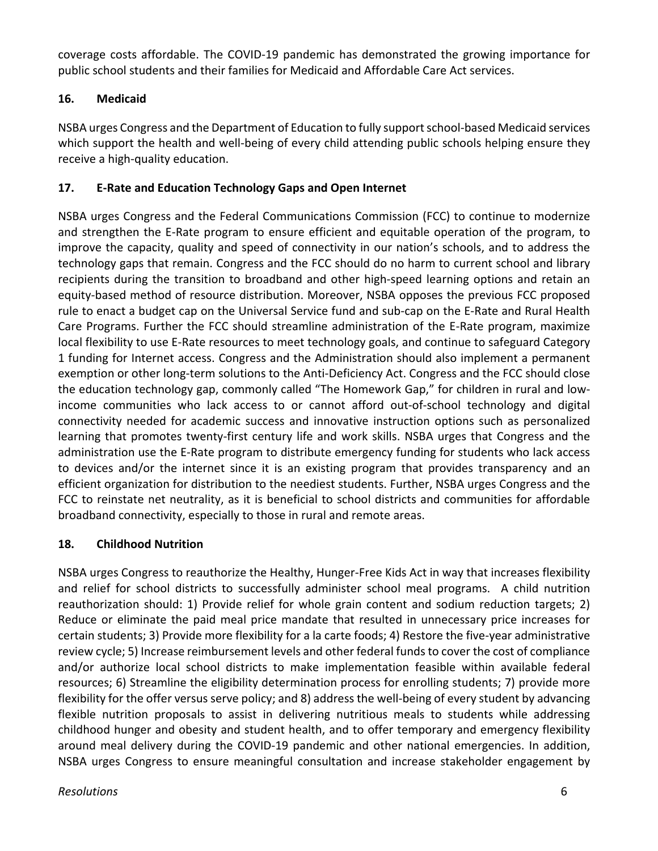coverage costs affordable. The COVID-19 pandemic has demonstrated the growing importance for public school students and their families for Medicaid and Affordable Care Act services.

# **16. Medicaid**

NSBA urges Congress and the Department of Education to fully support school-based Medicaid services which support the health and well-being of every child attending public schools helping ensure they receive a high-quality education.

#### **17. E-Rate and Education Technology Gaps and Open Internet**

NSBA urges Congress and the Federal Communications Commission (FCC) to continue to modernize and strengthen the E-Rate program to ensure efficient and equitable operation of the program, to improve the capacity, quality and speed of connectivity in our nation's schools, and to address the technology gaps that remain. Congress and the FCC should do no harm to current school and library recipients during the transition to broadband and other high-speed learning options and retain an equity-based method of resource distribution. Moreover, NSBA opposes the previous FCC proposed rule to enact a budget cap on the Universal Service fund and sub-cap on the E-Rate and Rural Health Care Programs. Further the FCC should streamline administration of the E-Rate program, maximize local flexibility to use E-Rate resources to meet technology goals, and continue to safeguard Category 1 funding for Internet access. Congress and the Administration should also implement a permanent exemption or other long-term solutions to the Anti-Deficiency Act. Congress and the FCC should close the education technology gap, commonly called "The Homework Gap," for children in rural and lowincome communities who lack access to or cannot afford out-of-school technology and digital connectivity needed for academic success and innovative instruction options such as personalized learning that promotes twenty-first century life and work skills. NSBA urges that Congress and the administration use the E-Rate program to distribute emergency funding for students who lack access to devices and/or the internet since it is an existing program that provides transparency and an efficient organization for distribution to the neediest students. Further, NSBA urges Congress and the FCC to reinstate net neutrality, as it is beneficial to school districts and communities for affordable broadband connectivity, especially to those in rural and remote areas.

#### **18. Childhood Nutrition**

NSBA urges Congress to reauthorize the Healthy, Hunger-Free Kids Act in way that increases flexibility and relief for school districts to successfully administer school meal programs. A child nutrition reauthorization should: 1) Provide relief for whole grain content and sodium reduction targets; 2) Reduce or eliminate the paid meal price mandate that resulted in unnecessary price increases for certain students; 3) Provide more flexibility for a la carte foods; 4) Restore the five-year administrative review cycle; 5) Increase reimbursement levels and other federal funds to cover the cost of compliance and/or authorize local school districts to make implementation feasible within available federal resources; 6) Streamline the eligibility determination process for enrolling students; 7) provide more flexibility for the offer versus serve policy; and 8) address the well-being of every student by advancing flexible nutrition proposals to assist in delivering nutritious meals to students while addressing childhood hunger and obesity and student health, and to offer temporary and emergency flexibility around meal delivery during the COVID-19 pandemic and other national emergencies. In addition, NSBA urges Congress to ensure meaningful consultation and increase stakeholder engagement by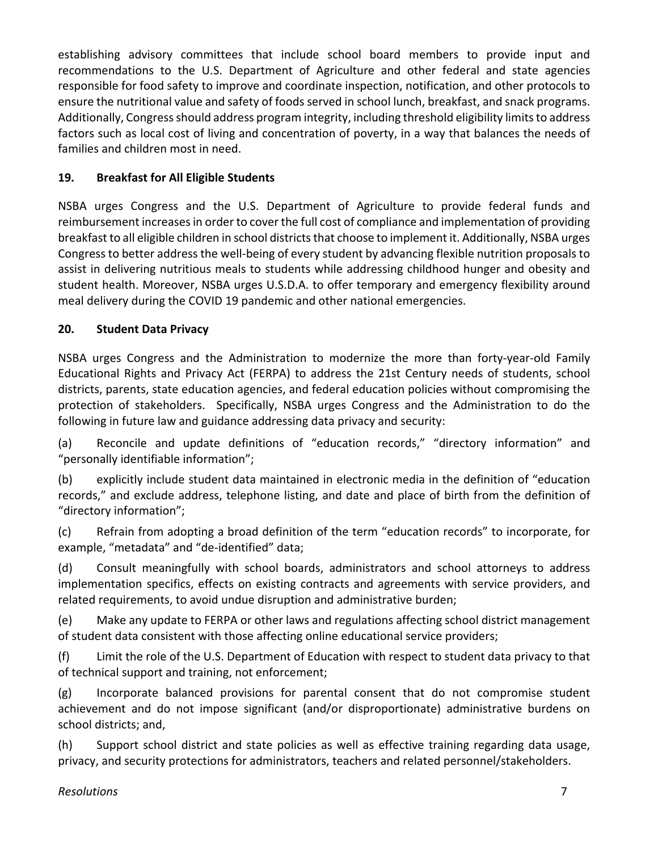establishing advisory committees that include school board members to provide input and recommendations to the U.S. Department of Agriculture and other federal and state agencies responsible for food safety to improve and coordinate inspection, notification, and other protocols to ensure the nutritional value and safety of foods served in school lunch, breakfast, and snack programs. Additionally, Congress should address program integrity, including threshold eligibility limits to address factors such as local cost of living and concentration of poverty, in a way that balances the needs of families and children most in need.

# **19. Breakfast for All Eligible Students**

NSBA urges Congress and the U.S. Department of Agriculture to provide federal funds and reimbursement increases in order to cover the full cost of compliance and implementation of providing breakfast to all eligible children in school districts that choose to implement it. Additionally, NSBA urges Congress to better address the well-being of every student by advancing flexible nutrition proposals to assist in delivering nutritious meals to students while addressing childhood hunger and obesity and student health. Moreover, NSBA urges U.S.D.A. to offer temporary and emergency flexibility around meal delivery during the COVID 19 pandemic and other national emergencies.

#### **20. Student Data Privacy**

NSBA urges Congress and the Administration to modernize the more than forty-year-old Family Educational Rights and Privacy Act (FERPA) to address the 21st Century needs of students, school districts, parents, state education agencies, and federal education policies without compromising the protection of stakeholders. Specifically, NSBA urges Congress and the Administration to do the following in future law and guidance addressing data privacy and security:

(a) Reconcile and update definitions of "education records," "directory information" and "personally identifiable information";

(b) explicitly include student data maintained in electronic media in the definition of "education records," and exclude address, telephone listing, and date and place of birth from the definition of "directory information";

(c) Refrain from adopting a broad definition of the term "education records" to incorporate, for example, "metadata" and "de-identified" data;

(d) Consult meaningfully with school boards, administrators and school attorneys to address implementation specifics, effects on existing contracts and agreements with service providers, and related requirements, to avoid undue disruption and administrative burden;

(e) Make any update to FERPA or other laws and regulations affecting school district management of student data consistent with those affecting online educational service providers;

(f) Limit the role of the U.S. Department of Education with respect to student data privacy to that of technical support and training, not enforcement;

(g) Incorporate balanced provisions for parental consent that do not compromise student achievement and do not impose significant (and/or disproportionate) administrative burdens on school districts; and,

(h) Support school district and state policies as well as effective training regarding data usage, privacy, and security protections for administrators, teachers and related personnel/stakeholders.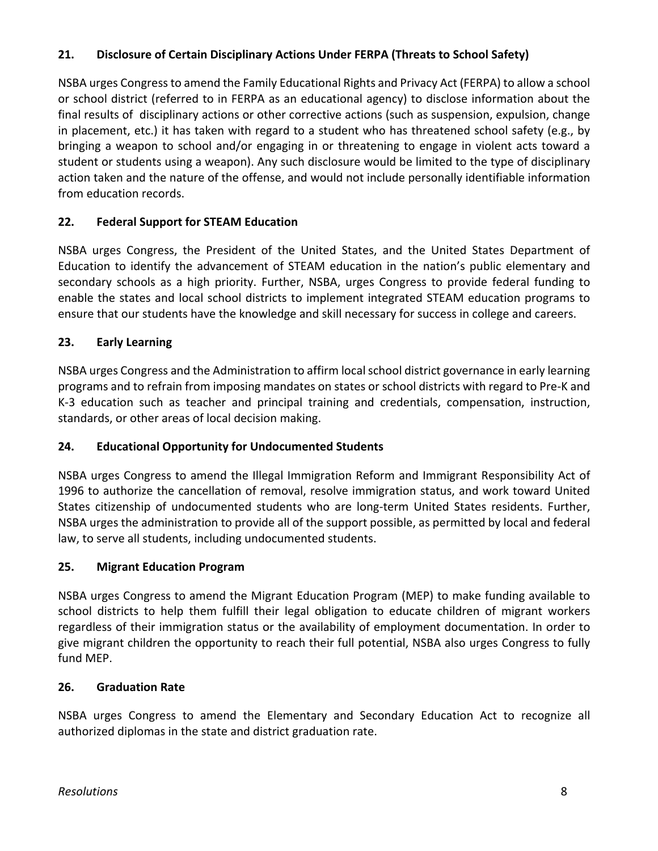#### **21. Disclosure of Certain Disciplinary Actions Under FERPA (Threats to School Safety)**

NSBA urges Congress to amend the Family Educational Rights and Privacy Act (FERPA) to allow a school or school district (referred to in FERPA as an educational agency) to disclose information about the final results of disciplinary actions or other corrective actions (such as suspension, expulsion, change in placement, etc.) it has taken with regard to a student who has threatened school safety (e.g., by bringing a weapon to school and/or engaging in or threatening to engage in violent acts toward a student or students using a weapon). Any such disclosure would be limited to the type of disciplinary action taken and the nature of the offense, and would not include personally identifiable information from education records.

#### **22. Federal Support for STEAM Education**

NSBA urges Congress, the President of the United States, and the United States Department of Education to identify the advancement of STEAM education in the nation's public elementary and secondary schools as a high priority. Further, NSBA, urges Congress to provide federal funding to enable the states and local school districts to implement integrated STEAM education programs to ensure that our students have the knowledge and skill necessary for success in college and careers.

#### **23. Early Learning**

NSBA urges Congress and the Administration to affirm local school district governance in early learning programs and to refrain from imposing mandates on states or school districts with regard to Pre-K and K-3 education such as teacher and principal training and credentials, compensation, instruction, standards, or other areas of local decision making.

#### **24. Educational Opportunity for Undocumented Students**

NSBA urges Congress to amend the Illegal Immigration Reform and Immigrant Responsibility Act of 1996 to authorize the cancellation of removal, resolve immigration status, and work toward United States citizenship of undocumented students who are long-term United States residents. Further, NSBA urges the administration to provide all of the support possible, as permitted by local and federal law, to serve all students, including undocumented students.

#### **25. Migrant Education Program**

NSBA urges Congress to amend the Migrant Education Program (MEP) to make funding available to school districts to help them fulfill their legal obligation to educate children of migrant workers regardless of their immigration status or the availability of employment documentation. In order to give migrant children the opportunity to reach their full potential, NSBA also urges Congress to fully fund MEP.

#### **26. Graduation Rate**

NSBA urges Congress to amend the Elementary and Secondary Education Act to recognize all authorized diplomas in the state and district graduation rate.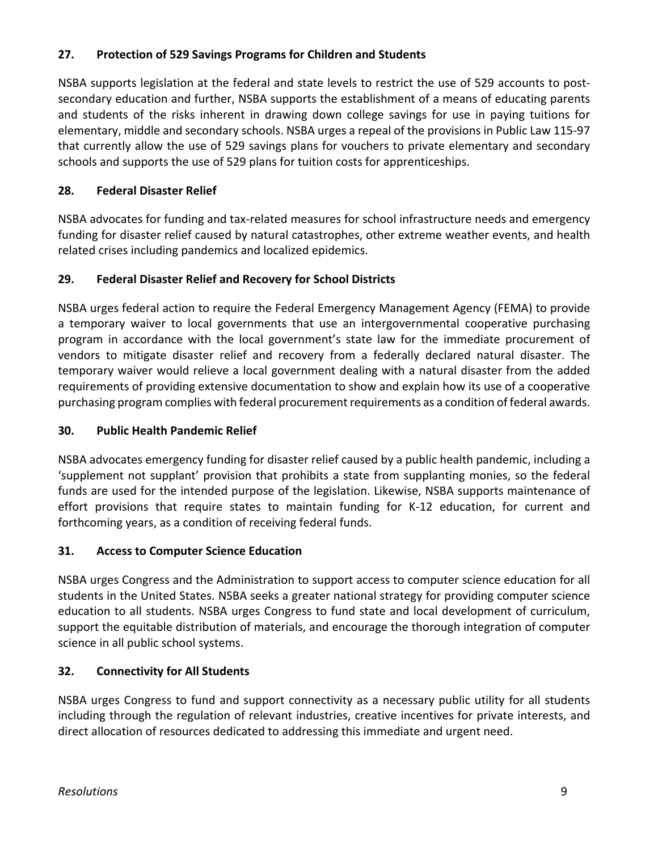#### **27. Protection of 529 Savings Programs for Children and Students**

NSBA supports legislation at the federal and state levels to restrict the use of 529 accounts to postsecondary education and further, NSBA supports the establishment of a means of educating parents and students of the risks inherent in drawing down college savings for use in paying tuitions for elementary, middle and secondary schools. NSBA urges a repeal of the provisions in Public Law 115-97 that currently allow the use of 529 savings plans for vouchers to private elementary and secondary schools and supports the use of 529 plans for tuition costs for apprenticeships.

### **28. Federal Disaster Relief**

NSBA advocates for funding and tax-related measures for school infrastructure needs and emergency funding for disaster relief caused by natural catastrophes, other extreme weather events, and health related crises including pandemics and localized epidemics.

# **29. Federal Disaster Relief and Recovery for School Districts**

NSBA urges federal action to require the Federal Emergency Management Agency (FEMA) to provide a temporary waiver to local governments that use an intergovernmental cooperative purchasing program in accordance with the local government's state law for the immediate procurement of vendors to mitigate disaster relief and recovery from a federally declared natural disaster. The temporary waiver would relieve a local government dealing with a natural disaster from the added requirements of providing extensive documentation to show and explain how its use of a cooperative purchasing program complies with federal procurement requirements as a condition of federal awards.

#### **30. Public Health Pandemic Relief**

NSBA advocates emergency funding for disaster relief caused by a public health pandemic, including a 'supplement not supplant' provision that prohibits a state from supplanting monies, so the federal funds are used for the intended purpose of the legislation. Likewise, NSBA supports maintenance of effort provisions that require states to maintain funding for K-12 education, for current and forthcoming years, as a condition of receiving federal funds.

#### **31. Access to Computer Science Education**

NSBA urges Congress and the Administration to support access to computer science education for all students in the United States. NSBA seeks a greater national strategy for providing computer science education to all students. NSBA urges Congress to fund state and local development of curriculum, support the equitable distribution of materials, and encourage the thorough integration of computer science in all public school systems.

# **32. Connectivity for All Students**

NSBA urges Congress to fund and support connectivity as a necessary public utility for all students including through the regulation of relevant industries, creative incentives for private interests, and direct allocation of resources dedicated to addressing this immediate and urgent need.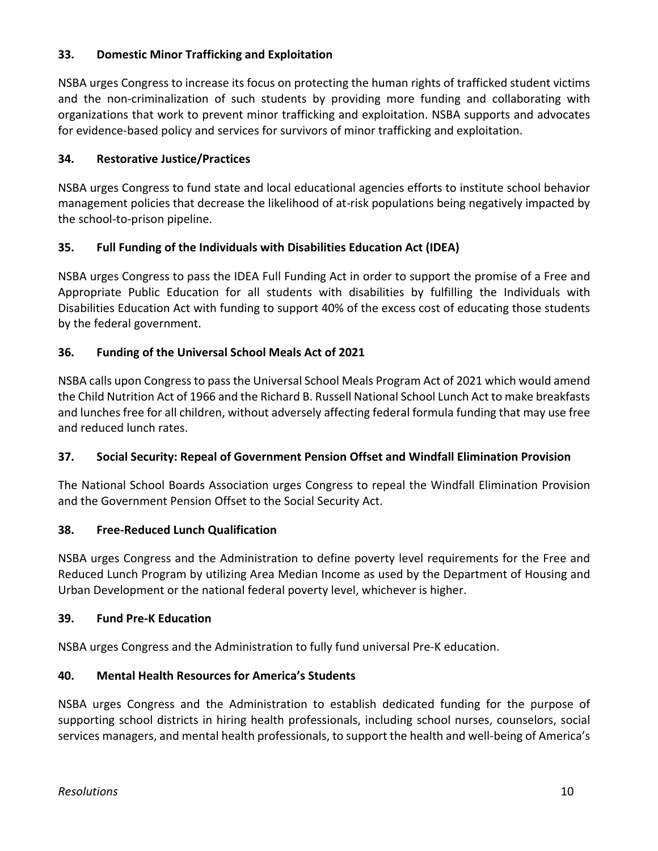#### **33. Domestic Minor Trafficking and Exploitation**

NSBA urges Congress to increase its focus on protecting the human rights of trafficked student victims and the non-criminalization of such students by providing more funding and collaborating with organizations that work to prevent minor trafficking and exploitation. NSBA supports and advocates for evidence-based policy and services for survivors of minor trafficking and exploitation.

#### **34. Restorative Justice/Practices**

NSBA urges Congress to fund state and local educational agencies efforts to institute school behavior management policies that decrease the likelihood of at-risk populations being negatively impacted by the school-to-prison pipeline.

#### **35. Full Funding of the Individuals with Disabilities Education Act (IDEA)**

NSBA urges Congress to pass the IDEA Full Funding Act in order to support the promise of a Free and Appropriate Public Education for all students with disabilities by fulfilling the Individuals with Disabilities Education Act with funding to support 40% of the excess cost of educating those students by the federal government.

#### **36. Funding of the Universal School Meals Act of 2021**

NSBA calls upon Congress to pass the Universal School Meals Program Act of 2021 which would amend the Child Nutrition Act of 1966 and the Richard B. Russell National School Lunch Act to make breakfasts and lunches free for all children, without adversely affecting federal formula funding that may use free and reduced lunch rates.

#### **37. Social Security: Repeal of Government Pension Offset and Windfall Elimination Provision**

The National School Boards Association urges Congress to repeal the Windfall Elimination Provision and the Government Pension Offset to the Social Security Act.

#### **38. Free-Reduced Lunch Qualification**

NSBA urges Congress and the Administration to define poverty level requirements for the Free and Reduced Lunch Program by utilizing Area Median Income as used by the Department of Housing and Urban Development or the national federal poverty level, whichever is higher.

#### **39. Fund Pre-K Education**

NSBA urges Congress and the Administration to fully fund universal Pre-K education.

#### **40. Mental Health Resources for America's Students**

NSBA urges Congress and the Administration to establish dedicated funding for the purpose of supporting school districts in hiring health professionals, including school nurses, counselors, social services managers, and mental health professionals, to support the health and well-being of America's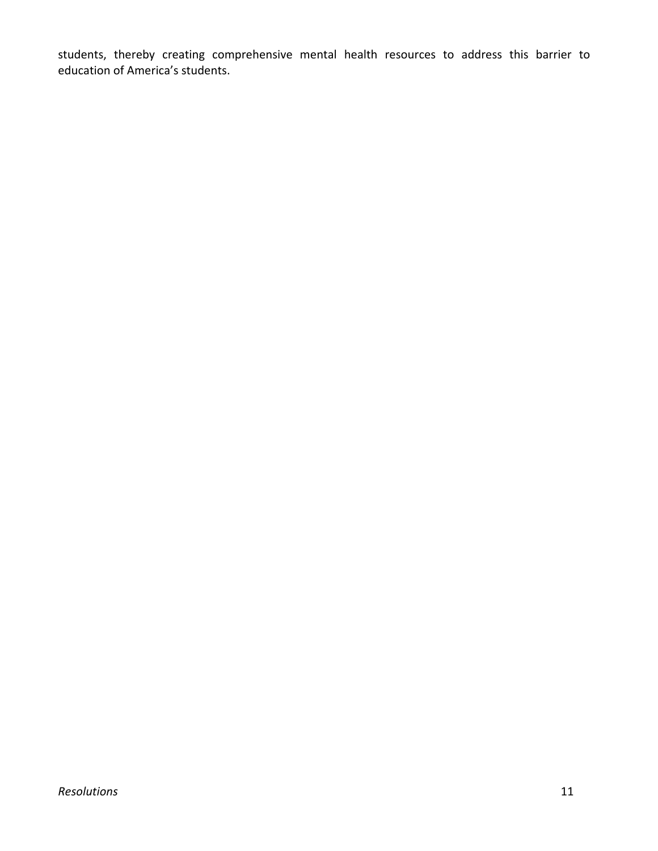students, thereby creating comprehensive mental health resources to address this barrier to education of America's students.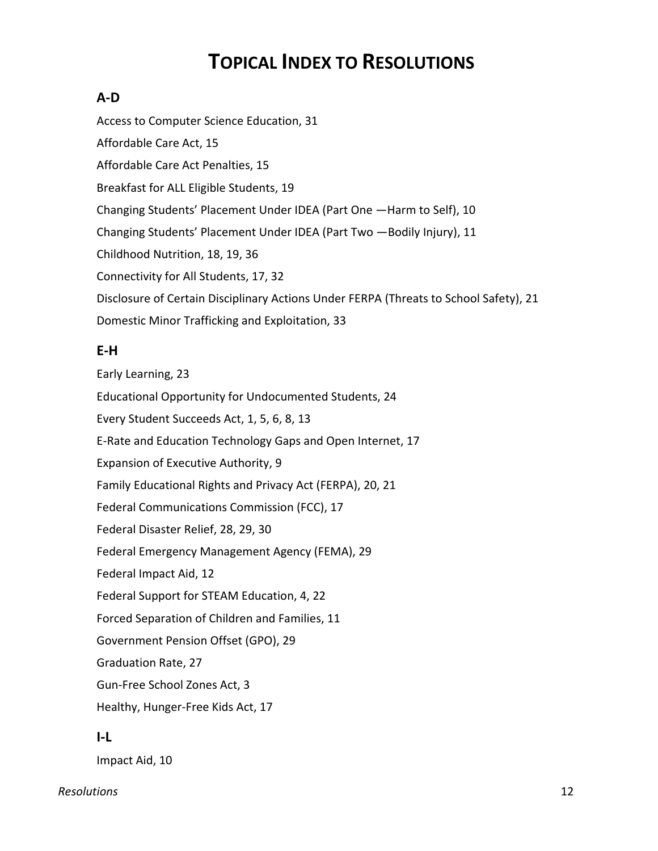# **TOPICAL INDEX TO RESOLUTIONS**

# **A-D**

Access to Computer Science Education, 31 Affordable Care Act, 15 Affordable Care Act Penalties, 15 Breakfast for ALL Eligible Students, 19 Changing Students' Placement Under IDEA (Part One —Harm to Self), 10 Changing Students' Placement Under IDEA (Part Two —Bodily Injury), 11 Childhood Nutrition, 18, 19, 36 Connectivity for All Students, 17, 32 Disclosure of Certain Disciplinary Actions Under FERPA (Threats to School Safety), 21 Domestic Minor Trafficking and Exploitation, 33

# **E-H**

Early Learning, 23 Educational Opportunity for Undocumented Students, 24 Every Student Succeeds Act, 1, 5, 6, 8, 13 E-Rate and Education Technology Gaps and Open Internet, 17 Expansion of Executive Authority, 9 Family Educational Rights and Privacy Act (FERPA), 20, 21 Federal Communications Commission (FCC), 17 Federal Disaster Relief, 28, 29, 30 Federal Emergency Management Agency (FEMA), 29 Federal Impact Aid, 12 Federal Support for STEAM Education, 4, 22 Forced Separation of Children and Families, 11 Government Pension Offset (GPO), 29 Graduation Rate, 27 Gun-Free School Zones Act, 3 Healthy, Hunger-Free Kids Act, 17

# **I-L**

Impact Aid, 10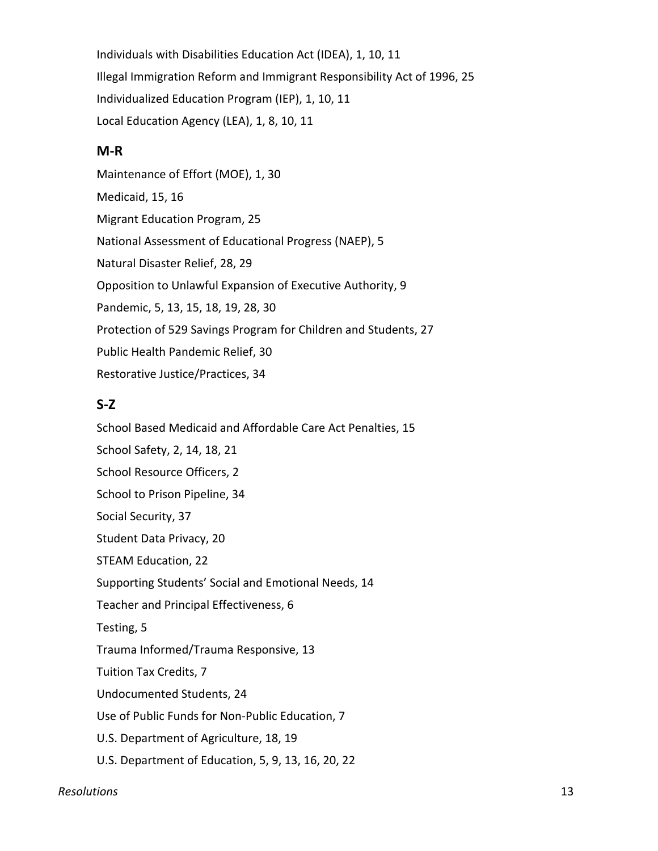Individuals with Disabilities Education Act (IDEA), 1, 10, 11 Illegal Immigration Reform and Immigrant Responsibility Act of 1996, 25 Individualized Education Program (IEP), 1, 10, 11 Local Education Agency (LEA), 1, 8, 10, 11

#### **M-R**

Maintenance of Effort (MOE), 1, 30 Medicaid, 15, 16 Migrant Education Program, 25 National Assessment of Educational Progress (NAEP), 5 Natural Disaster Relief, 28, 29 Opposition to Unlawful Expansion of Executive Authority, 9 Pandemic, 5, 13, 15, 18, 19, 28, 30 Protection of 529 Savings Program for Children and Students, 27 Public Health Pandemic Relief, 30 Restorative Justice/Practices, 34

#### **S-Z**

School Based Medicaid and Affordable Care Act Penalties, 15 School Safety, 2, 14, 18, 21 School Resource Officers, 2 School to Prison Pipeline, 34 Social Security, 37 Student Data Privacy, 20 STEAM Education, 22 Supporting Students' Social and Emotional Needs, 14 Teacher and Principal Effectiveness, 6 Testing, 5 Trauma Informed/Trauma Responsive, 13 Tuition Tax Credits, 7 Undocumented Students, 24 Use of Public Funds for Non-Public Education, 7 U.S. Department of Agriculture, 18, 19 U.S. Department of Education, 5, 9, 13, 16, 20, 22